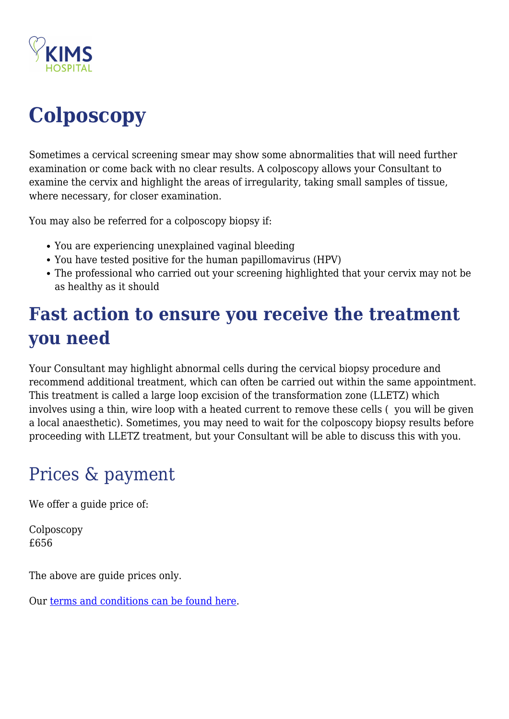

# **Colposcopy**

Sometimes a cervical screening smear may show some abnormalities that will need further examination or come back with no clear results. A colposcopy allows your Consultant to examine the cervix and highlight the areas of irregularity, taking small samples of tissue, where necessary, for closer examination.

You may also be referred for a colposcopy biopsy if:

- You are experiencing unexplained vaginal bleeding
- You have tested positive for the human papillomavirus (HPV)
- The professional who carried out your screening highlighted that your cervix may not be as healthy as it should

# **Fast action to ensure you receive the treatment you need**

Your Consultant may highlight abnormal cells during the cervical biopsy procedure and recommend additional treatment, which can often be carried out within the same appointment. This treatment is called a large loop excision of the transformation zone (LLETZ) which involves using a thin, wire loop with a heated current to remove these cells ( you will be given a local anaesthetic). Sometimes, you may need to wait for the colposcopy biopsy results before proceeding with LLETZ treatment, but your Consultant will be able to discuss this with you.

# Prices & payment

We offer a guide price of:

Colposcopy £656

The above are guide prices only.

Our [terms and conditions can be found here.](https://kims.org.uk/terms-conditions/)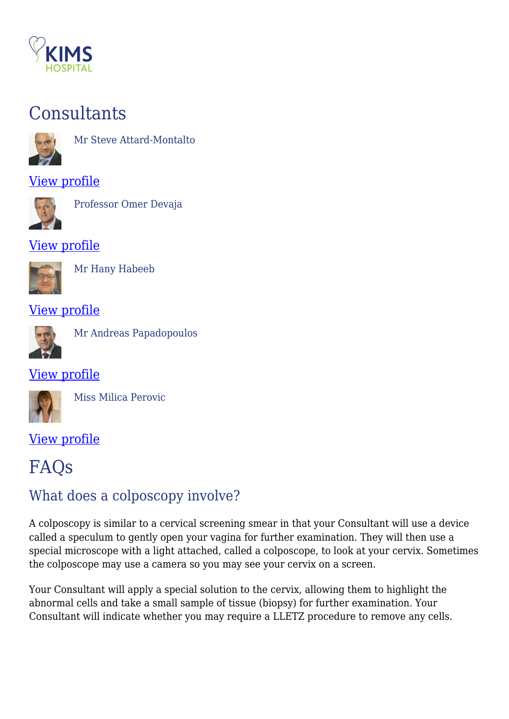

## **Consultants**



Mr Steve Attard-Montalto

#### [View profile](https://kims.org.uk/consultant/mr-steve-attard-montalto/)



Professor Omer Devaja

#### [View profile](https://kims.org.uk/consultant/professor-omer-devaja/)



Mr Hany Habeeb

#### [View profile](https://kims.org.uk/consultant/mr-hany-habeeb/)



Mr Andreas Papadopoulos

#### [View profile](https://kims.org.uk/consultant/mr-andreas-papadopoulos/)



Miss Milica Perovic

#### [View profile](https://kims.org.uk/consultant/miss-milica-perovic/)

## FAQs

## What does a colposcopy involve?

A colposcopy is similar to a cervical screening smear in that your Consultant will use a device called a speculum to gently open your vagina for further examination. They will then use a special microscope with a light attached, called a colposcope, to look at your cervix. Sometimes the colposcope may use a camera so you may see your cervix on a screen.

Your Consultant will apply a special solution to the cervix, allowing them to highlight the abnormal cells and take a small sample of tissue (biopsy) for further examination. Your Consultant will indicate whether you may require a LLETZ procedure to remove any cells.